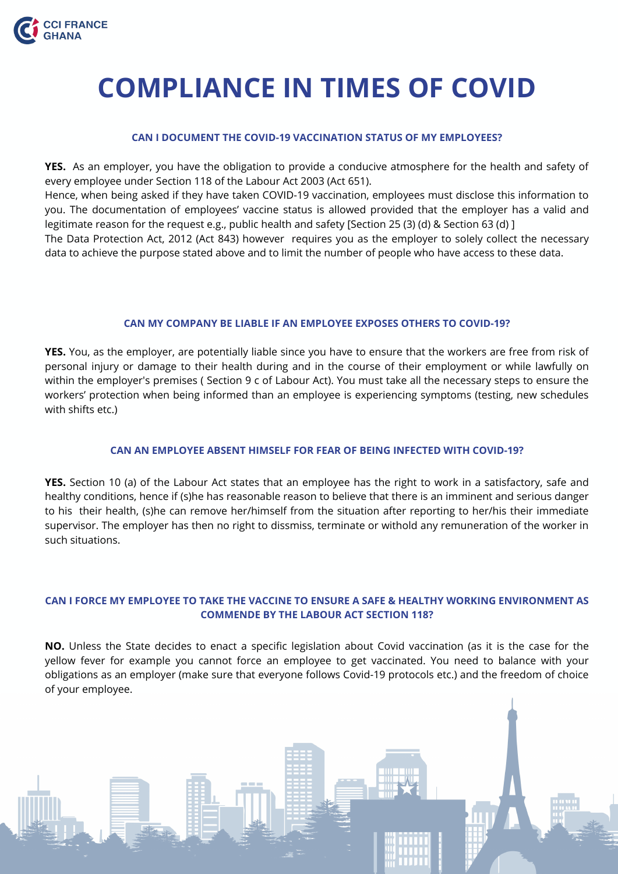#### **CAN MY COMPANY BE LIABLE IF AN EMPLOYEE EXPOSES OTHERS TO COVID-19?**

**YES.** You, as the employer, are potentially liable since you have to ensure that the workers are free from risk of personal injury or damage to their health during and in the course of their employment or while lawfully on within the employer's premises ( Section 9 c of Labour Act). You must take all the necessary steps to ensure the workers' protection when being informed than an employee is experiencing symptoms (testing, new schedules with shifts etc.)

#### **CAN I DOCUMENT THE COVID-19 VACCINATION STATUS OF MY EMPLOYEES?**

**YES.** As an employer, you have the obligation to provide a conducive atmosphere for the health and safety of every employee under Section 118 of the Labour Act 2003 (Act 651). Hence, when being asked if they have taken COVID-19 vaccination, employees must disclose this information to you. The documentation of employees' vaccine status is allowed provided that the employer has a valid and legitimate reason for the request e.g., public health and safety [Section 25 (3) (d) & Section 63 (d) ] The Data Protection Act, 2012 (Act 843) however requires you as the employer to solely collect the necessary data to achieve the purpose stated above and to limit the number of people who have access to these data.

#### **CAN AN EMPLOYEE ABSENT HIMSELF FOR FEAR OF BEING INFECTED WITH COVID-19?**

**YES.** Section 10 (a) of the Labour Act states that an employee has the right to work in a satisfactory, safe and healthy conditions, hence if (s)he has reasonable reason to believe that there is an imminent and serious danger to his their health, (s)he can remove her/himself from the situation after reporting to her/his their immediate supervisor. The employer has then no right to dissmiss, terminate or withold any remuneration of the worker in such situations.

### **CAN I FORCE MY EMPLOYEE TO TAKE THE VACCINE TO ENSURE A SAFE & HEALTHY WORKING ENVIRONMENT AS COMMENDE BY THE LABOUR ACT SECTION 118?**

**NO.** Unless the State decides to enact a specific legislation about Covid vaccination (as it is the case for the yellow fever for example you cannot force an employee to get vaccinated. You need to balance with your obligations as an employer (make sure that everyone follows Covid-19 protocols etc.) and the freedom of choice of your employee.





# **COMPLIANCE IN TIMES OF COVID**